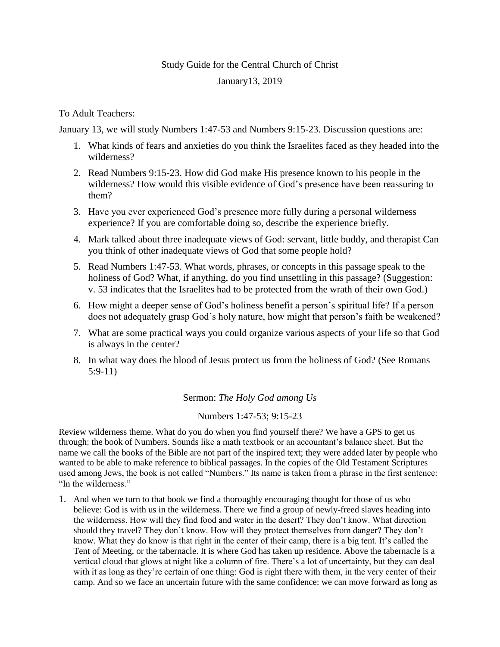## Study Guide for the Central Church of Christ January13, 2019

## To Adult Teachers:

January 13, we will study Numbers 1:47-53 and Numbers 9:15-23. Discussion questions are:

- 1. What kinds of fears and anxieties do you think the Israelites faced as they headed into the wilderness?
- 2. Read Numbers 9:15-23. How did God make His presence known to his people in the wilderness? How would this visible evidence of God's presence have been reassuring to them?
- 3. Have you ever experienced God's presence more fully during a personal wilderness experience? If you are comfortable doing so, describe the experience briefly.
- 4. Mark talked about three inadequate views of God: servant, little buddy, and therapist Can you think of other inadequate views of God that some people hold?
- 5. Read Numbers 1:47-53. What words, phrases, or concepts in this passage speak to the holiness of God? What, if anything, do you find unsettling in this passage? (Suggestion: v. 53 indicates that the Israelites had to be protected from the wrath of their own God.)
- 6. How might a deeper sense of God's holiness benefit a person's spiritual life? If a person does not adequately grasp God's holy nature, how might that person's faith be weakened?
- 7. What are some practical ways you could organize various aspects of your life so that God is always in the center?
- 8. In what way does the blood of Jesus protect us from the holiness of God? (See Romans 5:9-11)

Sermon: *The Holy God among Us*

Numbers 1:47-53; 9:15-23

Review wilderness theme. What do you do when you find yourself there? We have a GPS to get us through: the book of Numbers. Sounds like a math textbook or an accountant's balance sheet. But the name we call the books of the Bible are not part of the inspired text; they were added later by people who wanted to be able to make reference to biblical passages. In the copies of the Old Testament Scriptures used among Jews, the book is not called "Numbers." Its name is taken from a phrase in the first sentence: "In the wilderness."

1. And when we turn to that book we find a thoroughly encouraging thought for those of us who believe: God is with us in the wilderness. There we find a group of newly-freed slaves heading into the wilderness. How will they find food and water in the desert? They don't know. What direction should they travel? They don't know. How will they protect themselves from danger? They don't know. What they do know is that right in the center of their camp, there is a big tent. It's called the Tent of Meeting, or the tabernacle. It is where God has taken up residence. Above the tabernacle is a vertical cloud that glows at night like a column of fire. There's a lot of uncertainty, but they can deal with it as long as they're certain of one thing: God is right there with them, in the very center of their camp. And so we face an uncertain future with the same confidence: we can move forward as long as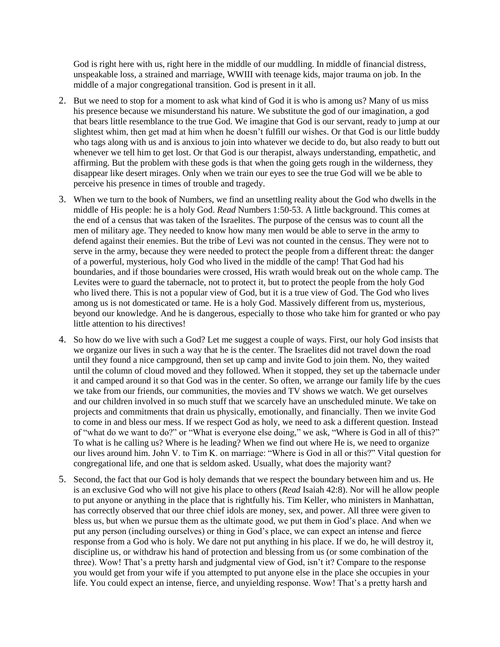God is right here with us, right here in the middle of our muddling. In middle of financial distress, unspeakable loss, a strained and marriage, WWIII with teenage kids, major trauma on job. In the middle of a major congregational transition. God is present in it all.

- 2. But we need to stop for a moment to ask what kind of God it is who is among us? Many of us miss his presence because we misunderstand his nature. We substitute the god of our imagination, a god that bears little resemblance to the true God. We imagine that God is our servant, ready to jump at our slightest whim, then get mad at him when he doesn't fulfill our wishes. Or that God is our little buddy who tags along with us and is anxious to join into whatever we decide to do, but also ready to butt out whenever we tell him to get lost. Or that God is our therapist, always understanding, empathetic, and affirming. But the problem with these gods is that when the going gets rough in the wilderness, they disappear like desert mirages. Only when we train our eyes to see the true God will we be able to perceive his presence in times of trouble and tragedy.
- 3. When we turn to the book of Numbers, we find an unsettling reality about the God who dwells in the middle of His people: he is a holy God. *Read* Numbers 1:50-53. A little background. This comes at the end of a census that was taken of the Israelites. The purpose of the census was to count all the men of military age. They needed to know how many men would be able to serve in the army to defend against their enemies. But the tribe of Levi was not counted in the census. They were not to serve in the army, because they were needed to protect the people from a different threat: the danger of a powerful, mysterious, holy God who lived in the middle of the camp! That God had his boundaries, and if those boundaries were crossed, His wrath would break out on the whole camp. The Levites were to guard the tabernacle, not to protect it, but to protect the people from the holy God who lived there. This is not a popular view of God, but it is a true view of God. The God who lives among us is not domesticated or tame. He is a holy God. Massively different from us, mysterious, beyond our knowledge. And he is dangerous, especially to those who take him for granted or who pay little attention to his directives!
- 4. So how do we live with such a God? Let me suggest a couple of ways. First, our holy God insists that we organize our lives in such a way that he is the center. The Israelites did not travel down the road until they found a nice campground, then set up camp and invite God to join them. No, they waited until the column of cloud moved and they followed. When it stopped, they set up the tabernacle under it and camped around it so that God was in the center. So often, we arrange our family life by the cues we take from our friends, our communities, the movies and TV shows we watch. We get ourselves and our children involved in so much stuff that we scarcely have an unscheduled minute. We take on projects and commitments that drain us physically, emotionally, and financially. Then we invite God to come in and bless our mess. If we respect God as holy, we need to ask a different question. Instead of "what do we want to do?" or "What is everyone else doing," we ask, "Where is God in all of this?" To what is he calling us? Where is he leading? When we find out where He is, we need to organize our lives around him. John V. to Tim K. on marriage: "Where is God in all or this?" Vital question for congregational life, and one that is seldom asked. Usually, what does the majority want?
- 5. Second, the fact that our God is holy demands that we respect the boundary between him and us. He is an exclusive God who will not give his place to others (*Read* Isaiah 42:8). Nor will he allow people to put anyone or anything in the place that is rightfully his. Tim Keller, who ministers in Manhattan, has correctly observed that our three chief idols are money, sex, and power. All three were given to bless us, but when we pursue them as the ultimate good, we put them in God's place. And when we put any person (including ourselves) or thing in God's place, we can expect an intense and fierce response from a God who is holy. We dare not put anything in his place. If we do, he will destroy it, discipline us, or withdraw his hand of protection and blessing from us (or some combination of the three). Wow! That's a pretty harsh and judgmental view of God, isn't it? Compare to the response you would get from your wife if you attempted to put anyone else in the place she occupies in your life. You could expect an intense, fierce, and unyielding response. Wow! That's a pretty harsh and